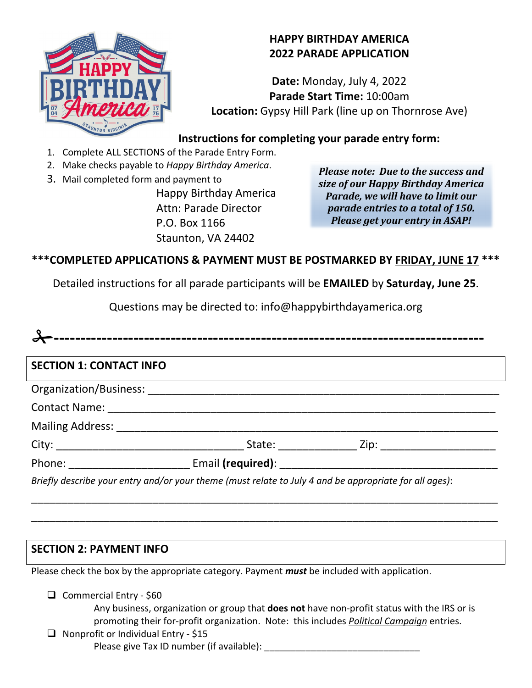

**Date:** Monday, July 4, 2022 **Parade Start Time:** 10:00am **Location:** Gypsy Hill Park (line up on Thornrose Ave)

## **Instructions for completing your parade entry form:**

- 1. Complete ALL SECTIONS of the Parade Entry Form.
- 2. Make checks payable to *Happy Birthday America*.
- 3. Mail completed form and payment to Happy Birthday America Attn: Parade Director P.O. Box 1166

Staunton, VA 24402

*Please note: Due to the success and size of our Happy Birthday America Parade, we will have to limit our parade entries to a total of 150. Please get your entry in ASAP!*

# **\*\*\*COMPLETED APPLICATIONS & PAYMENT MUST BE POSTMARKED BY FRIDAY, JUNE 17 \*\*\***

Detailed instructions for all parade participants will be **EMAILED** by **Saturday, June 25**.

Questions may be directed to: info@happybirthdayamerica.org

| Organization/Business: |  |
|------------------------|--|
|                        |  |

| <b>Contact Name:</b> |  |
|----------------------|--|
|                      |  |

Mailing Address: \_\_\_\_\_\_\_\_\_\_\_\_\_\_\_\_\_\_\_\_\_\_\_\_\_\_\_\_\_\_\_\_\_\_\_\_\_\_\_\_\_\_\_\_\_\_\_\_\_\_\_\_\_\_\_\_\_\_\_\_\_\_\_

| Phone: | Email (required): |
|--------|-------------------|
|        |                   |

*Briefly describe your entry and/or your theme (must relate to July 4 and be appropriate for all ages)*:

\_\_\_\_\_\_\_\_\_\_\_\_\_\_\_\_\_\_\_\_\_\_\_\_\_\_\_\_\_\_\_\_\_\_\_\_\_\_\_\_\_\_\_\_\_\_\_\_\_\_\_\_\_\_\_\_\_\_\_\_\_\_\_\_\_\_\_\_\_\_\_\_\_\_\_\_\_

\_\_\_\_\_\_\_\_\_\_\_\_\_\_\_\_\_\_\_\_\_\_\_\_\_\_\_\_\_\_\_\_\_\_\_\_\_\_\_\_\_\_\_\_\_\_\_\_\_\_\_\_\_\_\_\_\_\_\_\_\_\_\_\_\_\_\_\_\_\_\_\_\_\_\_\_\_

## **SECTION 2: PAYMENT INFO**

Please check the box by the appropriate category. Payment *must* be included with application.

 $\Box$  Commercial Entry - \$60

Any business, organization or group that **does not** have non-profit status with the IRS or is promoting their for-profit organization. Note: this includes *Political Campaign* entries.

 $\Box$  Nonprofit or Individual Entry - \$15

Please give Tax ID number (if available):

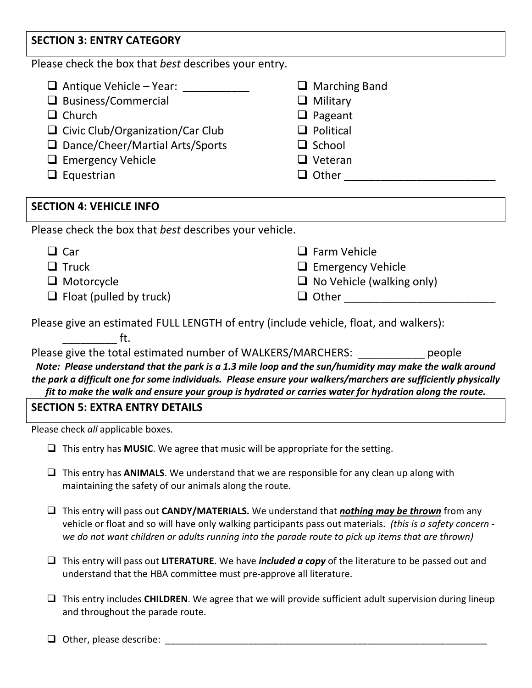## **SECTION 3: ENTRY CATEGORY**

Please check the box that *best* describes your entry.

- $\Box$  Antique Vehicle Year:
- $\Box$  Business/Commercial
- $\Box$  Church
- $\Box$  Civic Club/Organization/Car Club
- □ Dance/Cheer/Martial Arts/Sports
- $\Box$  Emergency Vehicle
- $\Box$  Equestrian

# □ Marching Band

- **Q** Military
- $\Box$  Pageant
- $\Box$  Political
- $\Box$  School
- □ Veteran
- Other \_\_\_\_\_\_\_\_\_\_\_\_\_\_\_\_\_\_\_\_\_\_\_\_\_

## **SECTION 4: VEHICLE INFO**

Please check the box that *best* describes your vehicle.

| $\Box$ Car                     | $\Box$ Farm Vehicle              |
|--------------------------------|----------------------------------|
| $\Box$ Truck                   | $\Box$ Emergency Vehicle         |
| $\Box$ Motorcycle              | $\Box$ No Vehicle (walking only) |
| $\Box$ Float (pulled by truck) | $\Box$ Other                     |

Please give an estimated FULL LENGTH of entry (include vehicle, float, and walkers):

 $\qquad \qquad \text{ft.}$ 

Please give the total estimated number of WALKERS/MARCHERS: people *Note: Please understand that the park is a 1.3 mile loop and the sun/humidity may make the walk around the park a difficult one for some individuals. Please ensure your walkers/marchers are sufficiently physically fit to make the walk and ensure your group is hydrated or carries water for hydration along the route.*

## **SECTION 5: EXTRA ENTRY DETAILS**

Please check *all* applicable boxes.

- This entry has **MUSIC**. We agree that music will be appropriate for the setting.
- This entry has **ANIMALS**. We understand that we are responsible for any clean up along with maintaining the safety of our animals along the route.
- This entry will pass out **CANDY/MATERIALS.** We understand that *nothing may be thrown* from any vehicle or float and so will have only walking participants pass out materials. *(this is a safety concern we do not want children or adults running into the parade route to pick up items that are thrown)*
- This entry will pass out **LITERATURE**. We have *included a copy* of the literature to be passed out and understand that the HBA committee must pre-approve all literature.
- This entry includes **CHILDREN**. We agree that we will provide sufficient adult supervision during lineup and throughout the parade route.
- $\Box$  Other, please describe: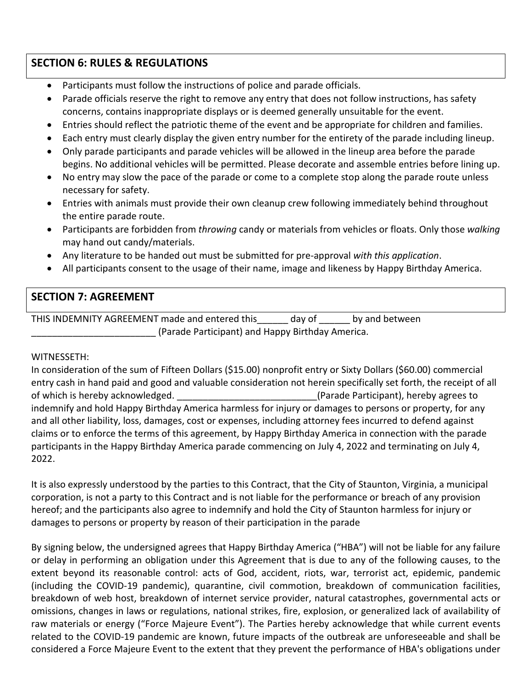## **SECTION 6: RULES & REGULATIONS**

- Participants must follow the instructions of police and parade officials.
- Parade officials reserve the right to remove any entry that does not follow instructions, has safety concerns, contains inappropriate displays or is deemed generally unsuitable for the event.
- Entries should reflect the patriotic theme of the event and be appropriate for children and families.
- Each entry must clearly display the given entry number for the entirety of the parade including lineup.
- Only parade participants and parade vehicles will be allowed in the lineup area before the parade begins. No additional vehicles will be permitted. Please decorate and assemble entries before lining up.
- No entry may slow the pace of the parade or come to a complete stop along the parade route unless necessary for safety.
- Entries with animals must provide their own cleanup crew following immediately behind throughout the entire parade route.
- Participants are forbidden from *throwing* candy or materials from vehicles or floats. Only those *walking* may hand out candy/materials.
- Any literature to be handed out must be submitted for pre-approval *with this application*.
- All participants consent to the usage of their name, image and likeness by Happy Birthday America.

## **SECTION 7: AGREEMENT**

THIS INDEMNITY AGREEMENT made and entered this\_\_\_\_\_\_ day of \_\_\_\_\_\_ by and between \_\_\_\_\_\_\_\_\_\_\_\_\_\_\_\_\_\_\_\_\_\_\_\_ (Parade Participant) and Happy Birthday America.

#### WITNESSETH:

In consideration of the sum of Fifteen Dollars (\$15.00) nonprofit entry or Sixty Dollars (\$60.00) commercial entry cash in hand paid and good and valuable consideration not herein specifically set forth, the receipt of all of which is hereby acknowledged.  $($ Parade Participant), hereby agrees to indemnify and hold Happy Birthday America harmless for injury or damages to persons or property, for any and all other liability, loss, damages, cost or expenses, including attorney fees incurred to defend against claims or to enforce the terms of this agreement, by Happy Birthday America in connection with the parade participants in the Happy Birthday America parade commencing on July 4, 2022 and terminating on July 4, 2022.

It is also expressly understood by the parties to this Contract, that the City of Staunton, Virginia, a municipal corporation, is not a party to this Contract and is not liable for the performance or breach of any provision hereof; and the participants also agree to indemnify and hold the City of Staunton harmless for injury or damages to persons or property by reason of their participation in the parade

By signing below, the undersigned agrees that Happy Birthday America ("HBA") will not be liable for any failure or delay in performing an obligation under this Agreement that is due to any of the following causes, to the extent beyond its reasonable control: acts of God, accident, riots, war, terrorist act, epidemic, pandemic (including the COVID-19 pandemic), quarantine, civil commotion, breakdown of communication facilities, breakdown of web host, breakdown of internet service provider, natural catastrophes, governmental acts or omissions, changes in laws or regulations, national strikes, fire, explosion, or generalized lack of availability of raw materials or energy ("Force Majeure Event"). The Parties hereby acknowledge that while current events related to the COVID-19 pandemic are known, future impacts of the outbreak are unforeseeable and shall be considered a Force Majeure Event to the extent that they prevent the performance of HBA's obligations under